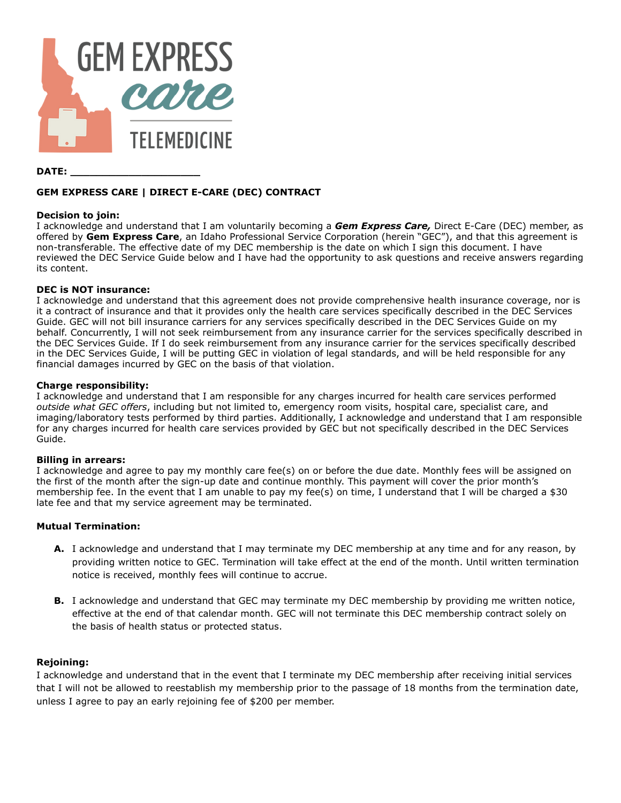

### **DATE: \_\_\_\_\_\_\_\_\_\_\_\_\_\_\_\_\_\_\_\_**

# **GEM EXPRESS CARE | DIRECT E-CARE (DEC) CONTRACT**

### **Decision to join:**

 I acknowledge and understand that I am voluntarily becoming a *Gem Express Care,* Direct E-Care (DEC) member, as offered by **Gem Express Care** , an Idaho Professional Service Corporation (herein "GEC"), and that this agreement is non-transferable. The effective date of my DEC membership is the date on which I sign this document. I have reviewed the DEC Service Guide below and I have had the opportunity to ask questions and receive answers regarding its content.

# **DEC is NOT insurance:**

 I acknowledge and understand that this agreement does not provide comprehensive health insurance coverage, nor is it a contract of insurance and that it provides only the health care services specifically described in the DEC Services Guide. GEC will not bill insurance carriers for any services specifically described in the DEC Services Guide on my behalf. Concurrently, I will not seek reimbursement from any insurance carrier for the services specifically described in the DEC Services Guide. If I do seek reimbursement from any insurance carrier for the services specifically described in the DEC Services Guide, I will be putting GEC in violation of legal standards, and will be held responsible for any financial damages incurred by GEC on the basis of that violation.

### **Charge responsibility:**

 I acknowledge and understand that I am responsible for any charges incurred for health care services performed  *outside what GEC offers* , including but not limited to, emergency room visits, hospital care, specialist care, and imaging/laboratory tests performed by third parties. Additionally, I acknowledge and understand that I am responsible for any charges incurred for health care services provided by GEC but not specifically described in the DEC Services Guide.

# **Billing in arrears:**

 I acknowledge and agree to pay my monthly care fee(s) on or before the due date. Monthly fees will be assigned on the first of the month after the sign-up date and continue monthly. This payment will cover the prior month's membership fee. In the event that I am unable to pay my fee(s) on time, I understand that I will be charged a  $$30$ late fee and that my service agreement may be terminated.

# **Mutual Termination:**

- **A.** I acknowledge and understand that I may terminate my DEC membership at any time and for any reason, by providing written notice to GEC. Termination will take effect at the end of the month. Until written termination notice is received, monthly fees will continue to accrue.
- **B.** I acknowledge and understand that GEC may terminate my DEC membership by providing me written notice, effective at the end of that calendar month. GEC will not terminate this DEC membership contract solely on the basis of health status or protected status.

# **Rejoining:**

 I acknowledge and understand that in the event that I terminate my DEC membership after receiving initial services that I will not be allowed to reestablish my membership prior to the passage of 18 months from the termination date, unless I agree to pay an early rejoining fee of \$200 per member.